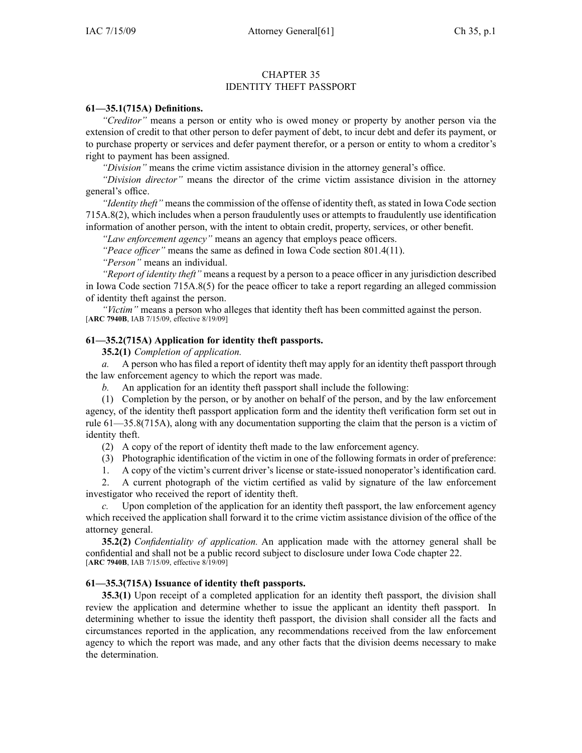## CHAPTER 35 IDENTITY THEFT PASSPORT

### **61—35.1(715A) Definitions.**

*"Creditor"* means <sup>a</sup> person or entity who is owed money or property by another person via the extension of credit to that other person to defer paymen<sup>t</sup> of debt, to incur debt and defer its payment, or to purchase property or services and defer paymen<sup>t</sup> therefor, or <sup>a</sup> person or entity to whom <sup>a</sup> creditor's right to paymen<sup>t</sup> has been assigned.

*"Division"* means the crime victim assistance division in the attorney general's office.

*"Division director"* means the director of the crime victim assistance division in the attorney general's office.

*"Identity theft"* means the commission of the offense of identity theft, as stated in Iowa Code section 715A.8(2), which includes when <sup>a</sup> person fraudulently uses or attempts to fraudulently use identification information of another person, with the intent to obtain credit, property, services, or other benefit.

*"Law enforcement agency"* means an agency that employs peace officers.

*"Peace officer"* means the same as defined in Iowa Code section 801.4(11).

*"Person"* means an individual.

*"Report of identity theft"* means <sup>a</sup> reques<sup>t</sup> by <sup>a</sup> person to <sup>a</sup> peace officer in any jurisdiction described in Iowa Code section 715A.8(5) for the peace officer to take <sup>a</sup> repor<sup>t</sup> regarding an alleged commission of identity theft against the person.

*"Victim"* means <sup>a</sup> person who alleges that identity theft has been committed against the person. [**ARC 7940B**, IAB 7/15/09, effective 8/19/09]

## **61—35.2(715A) Application for identity theft passports.**

**35.2(1)** *Completion of application.*

*a.* A person who has filed <sup>a</sup> repor<sup>t</sup> of identity theft may apply for an identity theft passpor<sup>t</sup> through the law enforcement agency to which the repor<sup>t</sup> was made.

*b.* An application for an identity theft passpor<sup>t</sup> shall include the following:

(1) Completion by the person, or by another on behalf of the person, and by the law enforcement agency, of the identity theft passpor<sup>t</sup> application form and the identity theft verification form set out in rule 61—35.8(715A), along with any documentation supporting the claim that the person is <sup>a</sup> victim of identity theft.

(2) A copy of the repor<sup>t</sup> of identity theft made to the law enforcement agency.

(3) Photographic identification of the victim in one of the following formats in order of preference:

1. A copy of the victim's current driver's license or state-issued nonoperator's identification card.

2. A current photograph of the victim certified as valid by signature of the law enforcement investigator who received the repor<sup>t</sup> of identity theft.

*c.* Upon completion of the application for an identity theft passport, the law enforcement agency which received the application shall forward it to the crime victim assistance division of the office of the attorney general.

**35.2(2)** *Confidentiality of application.* An application made with the attorney general shall be confidential and shall not be <sup>a</sup> public record subject to disclosure under Iowa Code chapter 22. [**ARC 7940B**, IAB 7/15/09, effective 8/19/09]

# **61—35.3(715A) Issuance of identity theft passports.**

**35.3(1)** Upon receipt of <sup>a</sup> completed application for an identity theft passport, the division shall review the application and determine whether to issue the applicant an identity theft passport. In determining whether to issue the identity theft passport, the division shall consider all the facts and circumstances reported in the application, any recommendations received from the law enforcement agency to which the repor<sup>t</sup> was made, and any other facts that the division deems necessary to make the determination.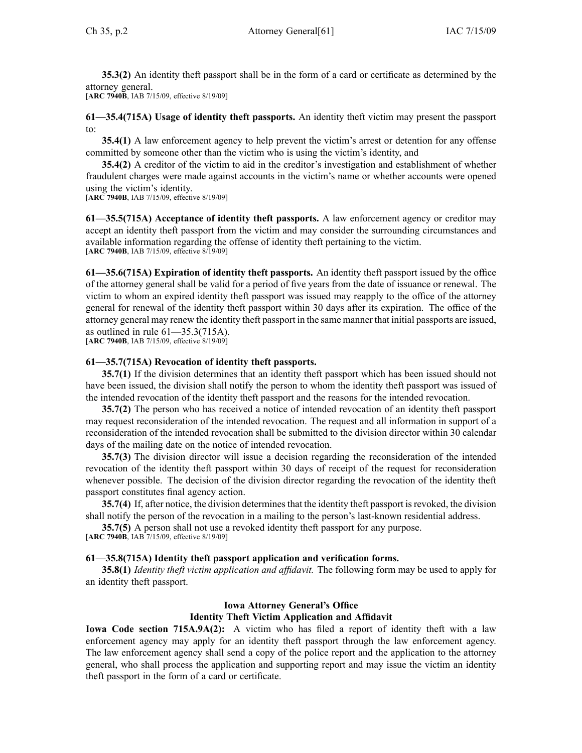**35.3(2)** An identity theft passpor<sup>t</sup> shall be in the form of <sup>a</sup> card or certificate as determined by the attorney general.

[**ARC 7940B**, IAB 7/15/09, effective 8/19/09]

**61—35.4(715A) Usage of identity theft passports.** An identity theft victim may presen<sup>t</sup> the passpor<sup>t</sup>  $t^{\alpha}$ 

**35.4(1)** A law enforcement agency to help prevent the victim's arrest or detention for any offense committed by someone other than the victim who is using the victim's identity, and

**35.4(2)** A creditor of the victim to aid in the creditor's investigation and establishment of whether fraudulent charges were made against accounts in the victim's name or whether accounts were opened using the victim's identity.

[**ARC 7940B**, IAB 7/15/09, effective 8/19/09]

**61—35.5(715A) Acceptance of identity theft passports.** A law enforcement agency or creditor may accep<sup>t</sup> an identity theft passpor<sup>t</sup> from the victim and may consider the surrounding circumstances and available information regarding the offense of identity theft pertaining to the victim. [**ARC 7940B**, IAB 7/15/09, effective 8/19/09]

**61—35.6(715A) Expiration of identity theft passports.** An identity theft passpor<sup>t</sup> issued by the office of the attorney general shall be valid for <sup>a</sup> period of five years from the date of issuance or renewal. The victim to whom an expired identity theft passpor<sup>t</sup> was issued may reapply to the office of the attorney general for renewal of the identity theft passpor<sup>t</sup> within 30 days after its expiration. The office of the attorney general may renew the identity theft passpor<sup>t</sup> in the same manner that initial passports are issued, as outlined in rule 61—35.3(715A).

[**ARC 7940B**, IAB 7/15/09, effective 8/19/09]

#### **61—35.7(715A) Revocation of identity theft passports.**

**35.7(1)** If the division determines that an identity theft passpor<sup>t</sup> which has been issued should not have been issued, the division shall notify the person to whom the identity theft passpor<sup>t</sup> was issued of the intended revocation of the identity theft passpor<sup>t</sup> and the reasons for the intended revocation.

**35.7(2)** The person who has received <sup>a</sup> notice of intended revocation of an identity theft passpor<sup>t</sup> may reques<sup>t</sup> reconsideration of the intended revocation. The reques<sup>t</sup> and all information in suppor<sup>t</sup> of <sup>a</sup> reconsideration of the intended revocation shall be submitted to the division director within 30 calendar days of the mailing date on the notice of intended revocation.

**35.7(3)** The division director will issue <sup>a</sup> decision regarding the reconsideration of the intended revocation of the identity theft passpor<sup>t</sup> within 30 days of receipt of the reques<sup>t</sup> for reconsideration whenever possible. The decision of the division director regarding the revocation of the identity theft passpor<sup>t</sup> constitutes final agency action.

**35.7(4)** If, after notice, the division determines that the identity theft passport is revoked, the division shall notify the person of the revocation in <sup>a</sup> mailing to the person's last-known residential address.

**35.7(5)** A person shall not use <sup>a</sup> revoked identity theft passpor<sup>t</sup> for any purpose.

[**ARC 7940B**, IAB 7/15/09, effective 8/19/09]

#### **61—35.8(715A) Identity theft passport application and verification forms.**

**35.8(1)** *Identity theft victim application and affidavit.* The following form may be used to apply for an identity theft passport.

# **Iowa Attorney General's Office Identity Theft Victim Application and Affidavit**

**Iowa Code section 715A.9A(2):** A victim who has filed <sup>a</sup> repor<sup>t</sup> of identity theft with <sup>a</sup> law enforcement agency may apply for an identity theft passpor<sup>t</sup> through the law enforcement agency. The law enforcement agency shall send <sup>a</sup> copy of the police repor<sup>t</sup> and the application to the attorney general, who shall process the application and supporting repor<sup>t</sup> and may issue the victim an identity theft passpor<sup>t</sup> in the form of <sup>a</sup> card or certificate.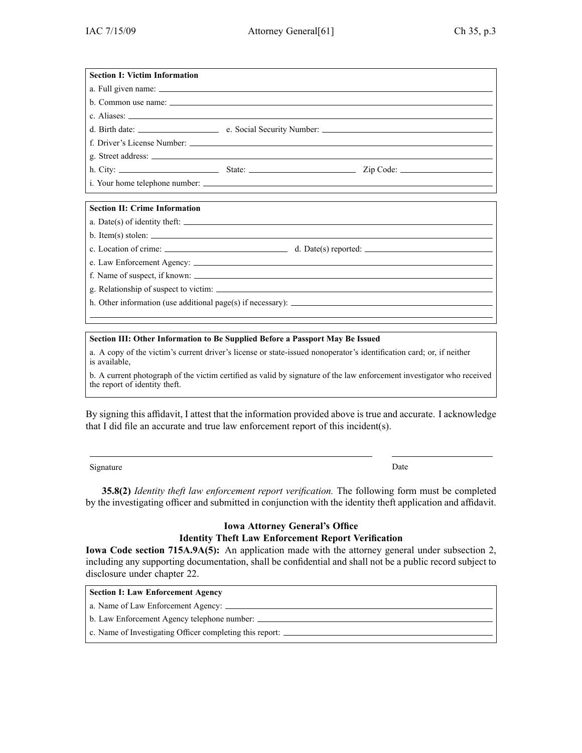| <b>Section I: Victim Information</b>                                      |                                            |  |  |
|---------------------------------------------------------------------------|--------------------------------------------|--|--|
|                                                                           |                                            |  |  |
|                                                                           |                                            |  |  |
|                                                                           |                                            |  |  |
|                                                                           |                                            |  |  |
|                                                                           |                                            |  |  |
|                                                                           |                                            |  |  |
|                                                                           |                                            |  |  |
|                                                                           |                                            |  |  |
|                                                                           |                                            |  |  |
| <b>Section II: Crime Information</b>                                      |                                            |  |  |
|                                                                           | a. Date(s) of identity the ft:             |  |  |
|                                                                           | $b.$ Item(s) stolen: $\frac{1}{100}$       |  |  |
|                                                                           | c. Location of crime: d. Date(s) reported: |  |  |
|                                                                           |                                            |  |  |
|                                                                           | f. Name of suspect, if known:              |  |  |
|                                                                           |                                            |  |  |
| h. Other information (use additional page(s) if necessary): $\frac{1}{2}$ |                                            |  |  |
|                                                                           |                                            |  |  |

# **Section III: Other Information to Be Supplied Before <sup>a</sup> Passport May Be Issued**

a. A copy of the victim's current driver's license or state-issued nonoperator's identification card; or, if neither is available,

b. A current photograph of the victim certified as valid by signature of the law enforcement investigator who received the repor<sup>t</sup> of identity theft.

By signing this affidavit, I attest that the information provided above is true and accurate. I acknowledge that I did file an accurate and true law enforcement repor<sup>t</sup> of this incident(s).

Signature Date Date of the Date of the Date of the Date of the Date of the Date of the Date of the Date of the

**35.8(2)** *Identity theft law enforcement repor<sup>t</sup> verification.* The following form must be completed by the investigating officer and submitted in conjunction with the identity theft application and affidavit.

# **Iowa Attorney General's Office Identity Theft Law Enforcement Report Verification**

**Iowa Code section 715A.9A(5):** An application made with the attorney general under subsection 2, including any supporting documentation, shall be confidential and shall not be <sup>a</sup> public record subject to disclosure under chapter 22.

| Section I: Law Enforcement Agency                        |  |
|----------------------------------------------------------|--|
|                                                          |  |
|                                                          |  |
| c. Name of Investigating Officer completing this report: |  |